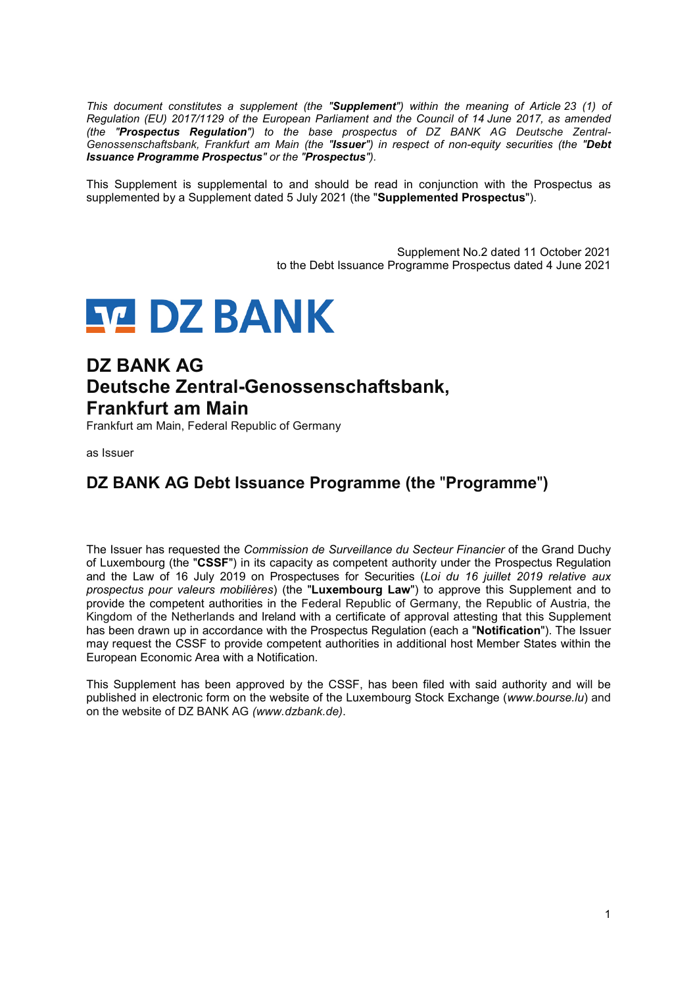*This document constitutes a supplement (the "Supplement") within the meaning of Article 23 (1) of Regulation (EU) 2017/1129 of the European Parliament and the Council of 14 June 2017, as amended (the "Prospectus Regulation") to the base prospectus of DZ BANK AG Deutsche Zentral-Genossenschaftsbank, Frankfurt am Main (the "Issuer") in respect of non-equity securities (the "Debt Issuance Programme Prospectus" or the "Prospectus").* 

This Supplement is supplemental to and should be read in conjunction with the Prospectus as supplemented by a Supplement dated 5 July 2021 (the "**Supplemented Prospectus**").

> Supplement No.2 dated 11 October 2021 to the Debt Issuance Programme Prospectus dated 4 June 2021

# **SZ DZ BANK**

## **DZ BANK AG Deutsche Zentral-Genossenschaftsbank, Frankfurt am Main**

Frankfurt am Main, Federal Republic of Germany

as Issuer

### **DZ BANK AG Debt Issuance Programme (the** "**Programme**"**)**

The Issuer has requested the *Commission de Surveillance du Secteur Financier* of the Grand Duchy of Luxembourg (the "**CSSF**") in its capacity as competent authority under the Prospectus Regulation and the Law of 16 July 2019 on Prospectuses for Securities (*Loi du 16 juillet 2019 relative aux prospectus pour valeurs mobilières*) (the "**Luxembourg Law**") to approve this Supplement and to provide the competent authorities in the Federal Republic of Germany, the Republic of Austria, the Kingdom of the Netherlands and Ireland with a certificate of approval attesting that this Supplement has been drawn up in accordance with the Prospectus Regulation (each a "**Notification**"). The Issuer may request the CSSF to provide competent authorities in additional host Member States within the European Economic Area with a Notification.

This Supplement has been approved by the CSSF, has been filed with said authority and will be published in electronic form on the website of the Luxembourg Stock Exchange (*www.bourse.lu*) and on the website of DZ BANK AG *(www.dzbank.de)*.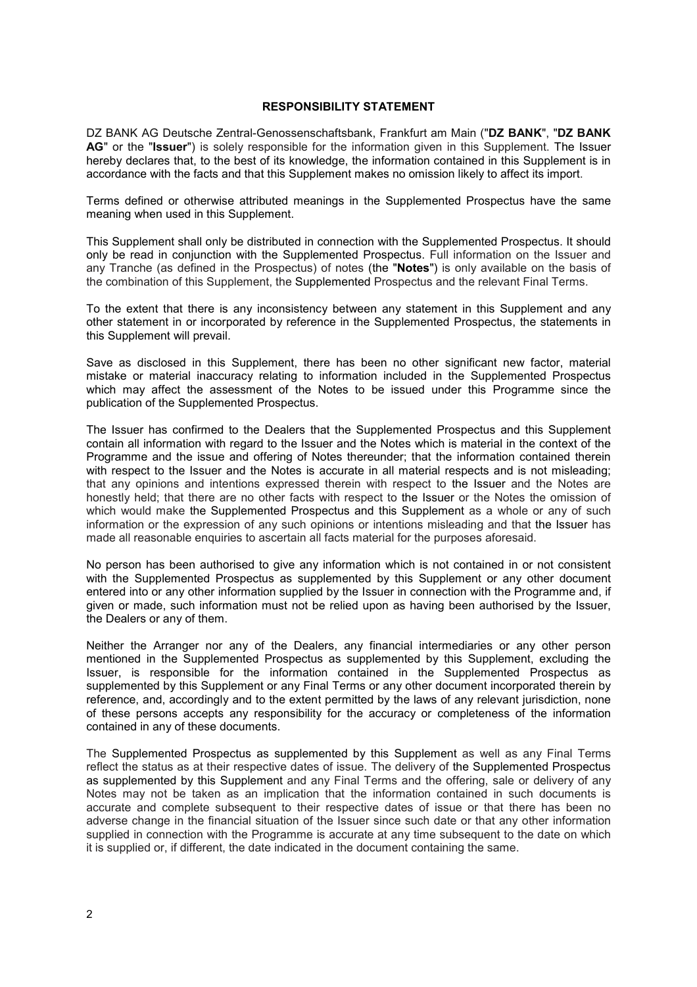#### **RESPONSIBILITY STATEMENT**

DZ BANK AG Deutsche Zentral-Genossenschaftsbank, Frankfurt am Main ("**DZ BANK**", "**DZ BANK AG**" or the "**Issuer**") is solely responsible for the information given in this Supplement. The Issuer hereby declares that, to the best of its knowledge, the information contained in this Supplement is in accordance with the facts and that this Supplement makes no omission likely to affect its import.

Terms defined or otherwise attributed meanings in the Supplemented Prospectus have the same meaning when used in this Supplement.

This Supplement shall only be distributed in connection with the Supplemented Prospectus. It should only be read in conjunction with the Supplemented Prospectus. Full information on the Issuer and any Tranche (as defined in the Prospectus) of notes (the "**Notes**") is only available on the basis of the combination of this Supplement, the Supplemented Prospectus and the relevant Final Terms.

To the extent that there is any inconsistency between any statement in this Supplement and any other statement in or incorporated by reference in the Supplemented Prospectus, the statements in this Supplement will prevail.

Save as disclosed in this Supplement, there has been no other significant new factor, material mistake or material inaccuracy relating to information included in the Supplemented Prospectus which may affect the assessment of the Notes to be issued under this Programme since the publication of the Supplemented Prospectus.

The Issuer has confirmed to the Dealers that the Supplemented Prospectus and this Supplement contain all information with regard to the Issuer and the Notes which is material in the context of the Programme and the issue and offering of Notes thereunder; that the information contained therein with respect to the Issuer and the Notes is accurate in all material respects and is not misleading: that any opinions and intentions expressed therein with respect to the Issuer and the Notes are honestly held; that there are no other facts with respect to the Issuer or the Notes the omission of which would make the Supplemented Prospectus and this Supplement as a whole or any of such information or the expression of any such opinions or intentions misleading and that the Issuer has made all reasonable enquiries to ascertain all facts material for the purposes aforesaid.

No person has been authorised to give any information which is not contained in or not consistent with the Supplemented Prospectus as supplemented by this Supplement or any other document entered into or any other information supplied by the Issuer in connection with the Programme and, if given or made, such information must not be relied upon as having been authorised by the Issuer, the Dealers or any of them.

Neither the Arranger nor any of the Dealers, any financial intermediaries or any other person mentioned in the Supplemented Prospectus as supplemented by this Supplement, excluding the Issuer, is responsible for the information contained in the Supplemented Prospectus as supplemented by this Supplement or any Final Terms or any other document incorporated therein by reference, and, accordingly and to the extent permitted by the laws of any relevant jurisdiction, none of these persons accepts any responsibility for the accuracy or completeness of the information contained in any of these documents.

The Supplemented Prospectus as supplemented by this Supplement as well as any Final Terms reflect the status as at their respective dates of issue. The delivery of the Supplemented Prospectus as supplemented by this Supplement and any Final Terms and the offering, sale or delivery of any Notes may not be taken as an implication that the information contained in such documents is accurate and complete subsequent to their respective dates of issue or that there has been no adverse change in the financial situation of the Issuer since such date or that any other information supplied in connection with the Programme is accurate at any time subsequent to the date on which it is supplied or, if different, the date indicated in the document containing the same.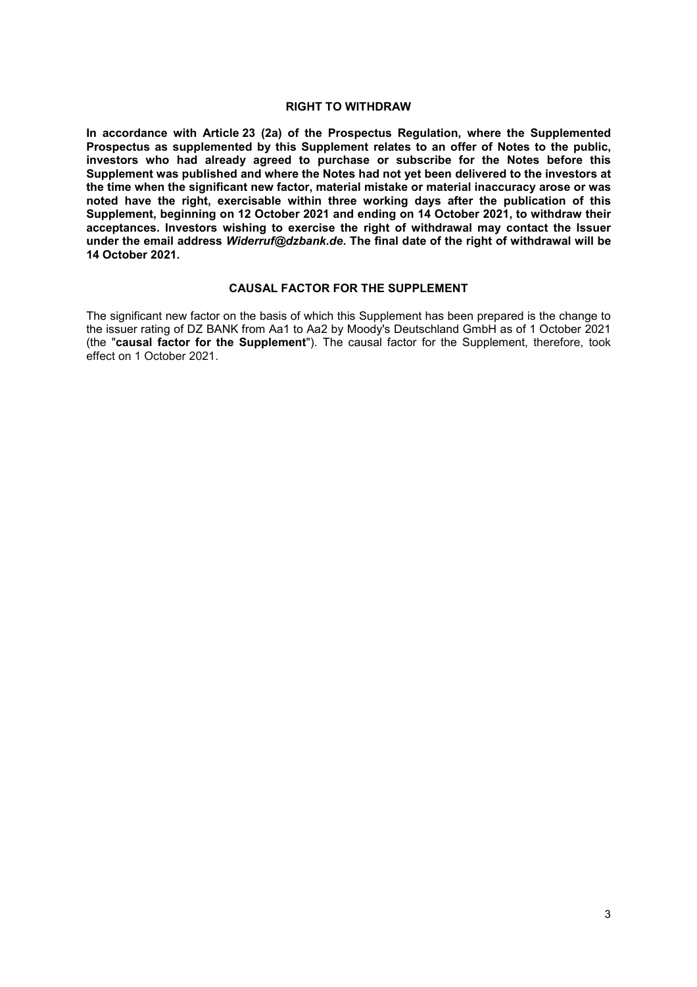#### **RIGHT TO WITHDRAW**

**In accordance with Article 23 (2a) of the Prospectus Regulation, where the Supplemented Prospectus as supplemented by this Supplement relates to an offer of Notes to the public, investors who had already agreed to purchase or subscribe for the Notes before this Supplement was published and where the Notes had not yet been delivered to the investors at the time when the significant new factor, material mistake or material inaccuracy arose or was noted have the right, exercisable within three working days after the publication of this Supplement, beginning on 12 October 2021 and ending on 14 October 2021, to withdraw their acceptances. Investors wishing to exercise the right of withdrawal may contact the Issuer under the email address** *Widerruf@dzbank.de***. The final date of the right of withdrawal will be 14 October 2021.** 

#### **CAUSAL FACTOR FOR THE SUPPLEMENT**

The significant new factor on the basis of which this Supplement has been prepared is the change to the issuer rating of DZ BANK from Aa1 to Aa2 by Moody's Deutschland GmbH as of 1 October 2021 (the "**causal factor for the Supplement**"). The causal factor for the Supplement, therefore, took effect on 1 October 2021.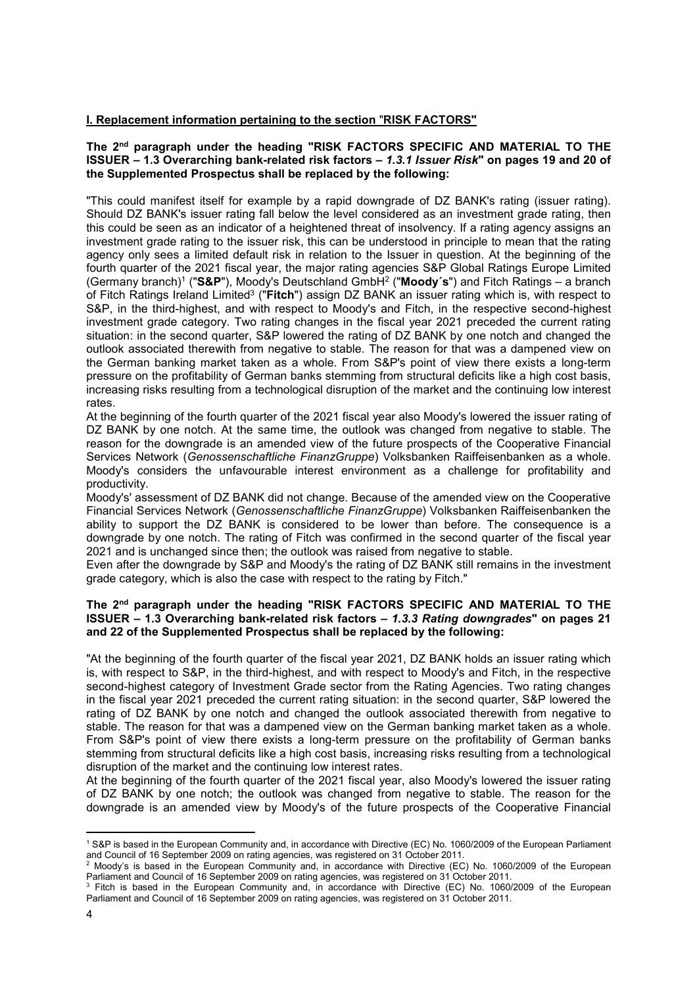#### **I. Replacement information pertaining to the section** "**RISK FACTORS"**

#### **The 2nd paragraph under the heading "RISK FACTORS SPECIFIC AND MATERIAL TO THE ISSUER – 1.3 Overarching bank-related risk factors –** *1.3.1 Issuer Risk***" on pages 19 and 20 of the Supplemented Prospectus shall be replaced by the following:**

"This could manifest itself for example by a rapid downgrade of DZ BANK's rating (issuer rating). Should DZ BANK's issuer rating fall below the level considered as an investment grade rating, then this could be seen as an indicator of a heightened threat of insolvency. If a rating agency assigns an investment grade rating to the issuer risk, this can be understood in principle to mean that the rating agency only sees a limited default risk in relation to the Issuer in question. At the beginning of the fourth quarter of the 2021 fiscal year, the major rating agencies S&P Global Ratings Europe Limited (Germany branch)1 ("**S&P**"), Moody's Deutschland GmbH2 ("**Moody´s**") and Fitch Ratings – a branch of Fitch Ratings Ireland Limited3 ("**Fitch**") assign DZ BANK an issuer rating which is, with respect to S&P, in the third-highest, and with respect to Moody's and Fitch, in the respective second-highest investment grade category. Two rating changes in the fiscal year 2021 preceded the current rating situation: in the second quarter, S&P lowered the rating of DZ BANK by one notch and changed the outlook associated therewith from negative to stable. The reason for that was a dampened view on the German banking market taken as a whole. From S&P's point of view there exists a long-term pressure on the profitability of German banks stemming from structural deficits like a high cost basis, increasing risks resulting from a technological disruption of the market and the continuing low interest rates.

At the beginning of the fourth quarter of the 2021 fiscal year also Moody's lowered the issuer rating of DZ BANK by one notch. At the same time, the outlook was changed from negative to stable. The reason for the downgrade is an amended view of the future prospects of the Cooperative Financial Services Network (*Genossenschaftliche FinanzGruppe*) Volksbanken Raiffeisenbanken as a whole. Moody's considers the unfavourable interest environment as a challenge for profitability and productivity.

Moody's' assessment of DZ BANK did not change. Because of the amended view on the Cooperative Financial Services Network (*Genossenschaftliche FinanzGruppe*) Volksbanken Raiffeisenbanken the ability to support the DZ BANK is considered to be lower than before. The consequence is a downgrade by one notch. The rating of Fitch was confirmed in the second quarter of the fiscal year 2021 and is unchanged since then; the outlook was raised from negative to stable.

Even after the downgrade by S&P and Moody's the rating of DZ BANK still remains in the investment grade category, which is also the case with respect to the rating by Fitch."

#### **The 2nd paragraph under the heading "RISK FACTORS SPECIFIC AND MATERIAL TO THE ISSUER – 1.3 Overarching bank-related risk factors –** *1.3.3 Rating downgrades***" on pages 21 and 22 of the Supplemented Prospectus shall be replaced by the following:**

"At the beginning of the fourth quarter of the fiscal year 2021, DZ BANK holds an issuer rating which is, with respect to S&P, in the third-highest, and with respect to Moody's and Fitch, in the respective second-highest category of Investment Grade sector from the Rating Agencies. Two rating changes in the fiscal year 2021 preceded the current rating situation: in the second quarter, S&P lowered the rating of DZ BANK by one notch and changed the outlook associated therewith from negative to stable. The reason for that was a dampened view on the German banking market taken as a whole. From S&P's point of view there exists a long-term pressure on the profitability of German banks stemming from structural deficits like a high cost basis, increasing risks resulting from a technological disruption of the market and the continuing low interest rates.

At the beginning of the fourth quarter of the 2021 fiscal year, also Moody's lowered the issuer rating of DZ BANK by one notch; the outlook was changed from negative to stable. The reason for the downgrade is an amended view by Moody's of the future prospects of the Cooperative Financial

 $\overline{a}$ 

<sup>1</sup> S&P is based in the European Community and, in accordance with Directive (EC) No. 1060/2009 of the European Parliament and Council of 16 September 2009 on rating agencies, was registered on 31 October 2011. 2

<sup>&</sup>lt;sup>2</sup> Moody's is based in the European Community and, in accordance with Directive (EC) No. 1060/2009 of the European Parliament and Council of 16 September 2009 on rating agencies, was registered on 31 October 2011.

<sup>&</sup>lt;sup>3</sup> Fitch is based in the European Community and, in accordance with Directive (EC) No. 1060/2009 of the European Parliament and Council of 16 September 2009 on rating agencies, was registered on 31 October 2011.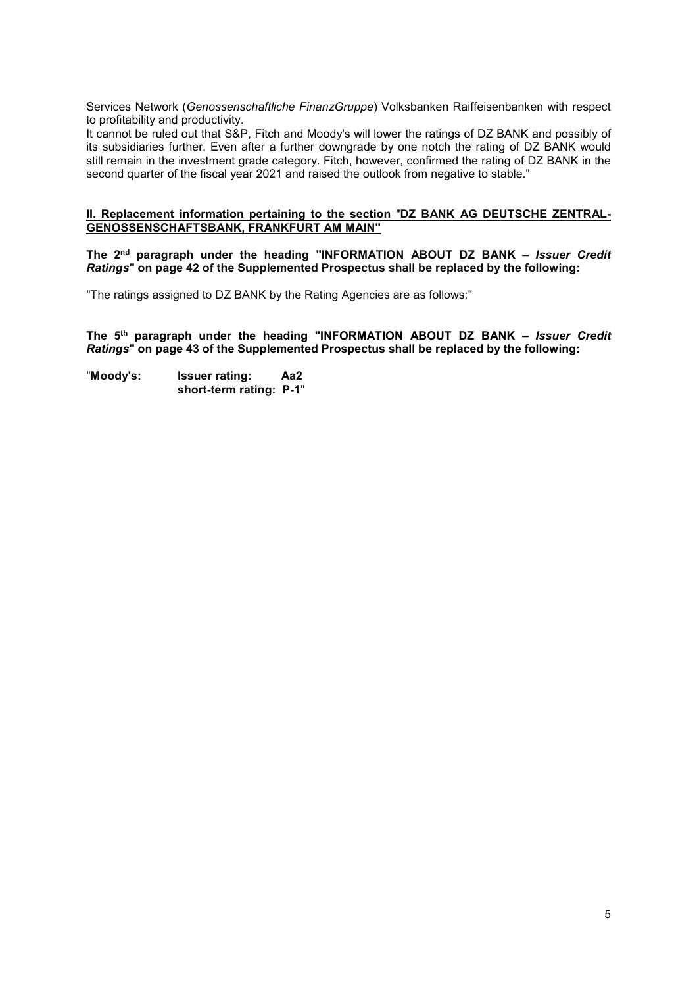Services Network (*Genossenschaftliche FinanzGruppe*) Volksbanken Raiffeisenbanken with respect to profitability and productivity.

It cannot be ruled out that S&P, Fitch and Moody's will lower the ratings of DZ BANK and possibly of its subsidiaries further. Even after a further downgrade by one notch the rating of DZ BANK would still remain in the investment grade category. Fitch, however, confirmed the rating of DZ BANK in the second quarter of the fiscal year 2021 and raised the outlook from negative to stable."

#### **II. Replacement information pertaining to the section** "**DZ BANK AG DEUTSCHE ZENTRAL-GENOSSENSCHAFTSBANK, FRANKFURT AM MAIN"**

**The 2nd paragraph under the heading "INFORMATION ABOUT DZ BANK –** *Issuer Credit Ratings***" on page 42 of the Supplemented Prospectus shall be replaced by the following:** 

"The ratings assigned to DZ BANK by the Rating Agencies are as follows:"

**The 5th paragraph under the heading "INFORMATION ABOUT DZ BANK –** *Issuer Credit Ratings***" on page 43 of the Supplemented Prospectus shall be replaced by the following:** 

"**Moody's: Issuer rating: Aa2 short-term rating: P-1**"